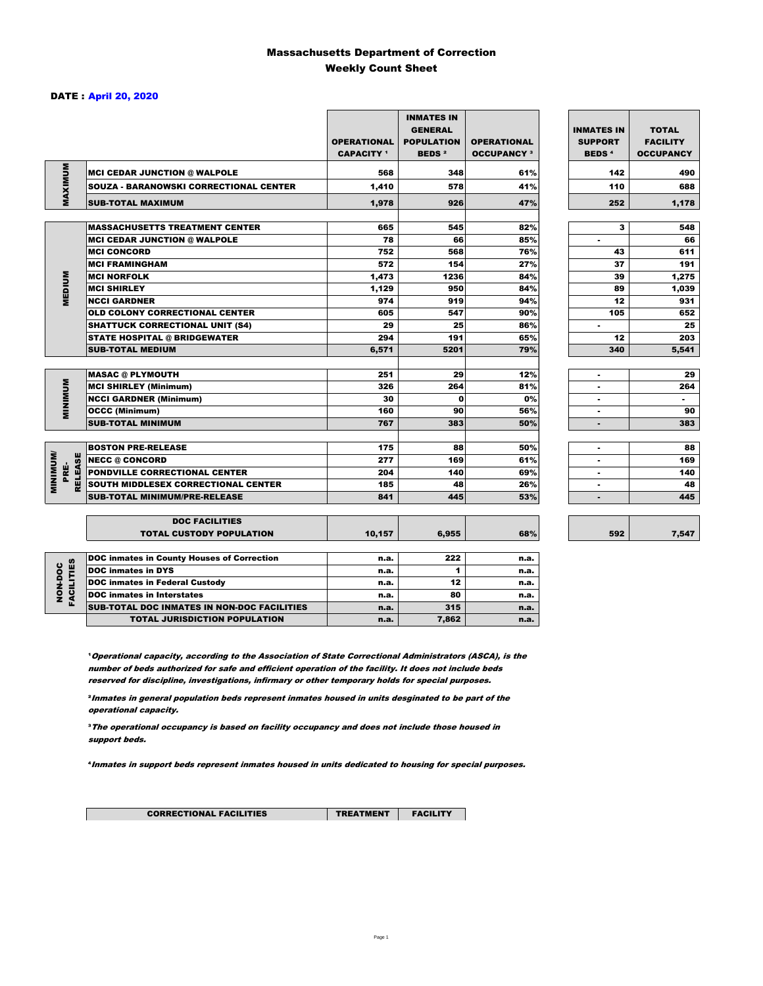### Massachusetts Department of Correction Weekly Count Sheet

### DATE : April 20, 2020

|                                   |                                               | <b>OPERATIONAL</b><br><b>CAPACITY</b> <sup>1</sup> | <b>INMATES IN</b><br><b>GENERAL</b><br><b>POPULATION</b><br><b>BEDS<sup>2</sup></b> | <b>OPERATIONAL</b><br><b>OCCUPANCY 3</b> | <b>INMATES IN</b><br><b>SUPPORT</b><br><b>BEDS<sup>4</sup></b> | <b>TOTAL</b><br><b>FACILITY</b><br><b>OCCUPANCY</b> |
|-----------------------------------|-----------------------------------------------|----------------------------------------------------|-------------------------------------------------------------------------------------|------------------------------------------|----------------------------------------------------------------|-----------------------------------------------------|
| MAXIMUM                           | <b>MCI CEDAR JUNCTION @ WALPOLE</b>           | 568                                                | 348                                                                                 | 61%                                      | 142                                                            | 490                                                 |
|                                   | <b>SOUZA - BARANOWSKI CORRECTIONAL CENTER</b> | 1,410                                              | 578                                                                                 | 41%                                      | 110                                                            | 688                                                 |
|                                   | <b>SUB-TOTAL MAXIMUM</b>                      | 1,978                                              | 926                                                                                 | 47%                                      | 252                                                            | 1,178                                               |
|                                   | <b>MASSACHUSETTS TREATMENT CENTER</b>         | 665                                                | 545                                                                                 | 82%                                      | 3                                                              | 548                                                 |
|                                   | <b>MCI CEDAR JUNCTION @ WALPOLE</b>           | 78                                                 | 66                                                                                  | 85%                                      | ٠                                                              | 66                                                  |
|                                   | <b>MCI CONCORD</b>                            | 752                                                | 568                                                                                 | 76%                                      | 43                                                             | 611                                                 |
|                                   | <b>MCI FRAMINGHAM</b>                         | 572                                                | 154                                                                                 | 27%                                      | 37                                                             | 191                                                 |
|                                   | <b>MCI NORFOLK</b>                            | 1,473                                              | 1236                                                                                | 84%                                      | 39                                                             | 1,275                                               |
| <b>MEDIUM</b>                     | <b>MCI SHIRLEY</b>                            | 1,129                                              | 950                                                                                 | 84%                                      | 89                                                             | 1,039                                               |
|                                   | <b>NCCI GARDNER</b>                           | 974                                                | 919                                                                                 | 94%                                      | 12                                                             | 931                                                 |
|                                   | <b>OLD COLONY CORRECTIONAL CENTER</b>         | 605                                                | 547                                                                                 | 90%                                      | 105                                                            | 652                                                 |
|                                   | <b>SHATTUCK CORRECTIONAL UNIT (S4)</b>        | 29                                                 | 25                                                                                  | 86%                                      | ٠                                                              | 25                                                  |
|                                   | <b>STATE HOSPITAL @ BRIDGEWATER</b>           | 294                                                | 191                                                                                 | 65%                                      | 12                                                             | 203                                                 |
|                                   | SUB-TOTAL MEDIUM                              | 6,571                                              | 5201                                                                                | 79%                                      | 340                                                            | 5,541                                               |
|                                   |                                               |                                                    |                                                                                     |                                          |                                                                |                                                     |
|                                   | <b>MASAC @ PLYMOUTH</b>                       | 251                                                | 29                                                                                  | 12%                                      | ٠                                                              | 29                                                  |
| <b>MUNIMUM</b>                    | <b>MCI SHIRLEY (Minimum)</b>                  | 326                                                | 264                                                                                 | 81%                                      |                                                                | 264                                                 |
|                                   | <b>NCCI GARDNER (Minimum)</b>                 | 30                                                 | 0                                                                                   | 0%                                       | ٠                                                              | $\sim$                                              |
|                                   | <b>OCCC (Minimum)</b>                         | 160                                                | 90                                                                                  | 56%                                      | ٠                                                              | 90                                                  |
|                                   | <b>SUB-TOTAL MINIMUM</b>                      | 767                                                | 383                                                                                 | 50%                                      |                                                                | 383                                                 |
|                                   |                                               |                                                    |                                                                                     |                                          |                                                                |                                                     |
|                                   | <b>BOSTON PRE-RELEASE</b>                     | 175                                                | 88                                                                                  | 50%                                      | $\blacksquare$                                                 | 88                                                  |
| <b>MINIMINI</b><br><b>RELEASE</b> | <b>NECC @ CONCORD</b>                         | 277                                                | 169                                                                                 | 61%                                      |                                                                | 169                                                 |
| PRE-                              | <b>PONDVILLE CORRECTIONAL CENTER</b>          | 204                                                | 140                                                                                 | 69%                                      | ٠                                                              | 140                                                 |
|                                   | SOUTH MIDDLESEX CORRECTIONAL CENTER           | 185                                                | 48                                                                                  | 26%                                      | $\blacksquare$                                                 | 48                                                  |
|                                   | <b>SUB-TOTAL MINIMUM/PRE-RELEASE</b>          | 841                                                | 445                                                                                 | 53%                                      |                                                                | 445                                                 |
|                                   | <b>DOC FACILITIES</b>                         |                                                    |                                                                                     |                                          |                                                                |                                                     |
|                                   | <b>TOTAL CUSTODY POPULATION</b>               | 10,157                                             | 6,955                                                                               | 68%                                      | 592                                                            | 7,547                                               |
|                                   | DOC inmates in County Houses of Correction    | n.a.                                               | 222                                                                                 | n.a.                                     |                                                                |                                                     |
| FACILITIES                        | <b>DOC</b> inmates in DYS                     | n.a.                                               | 1                                                                                   | n.a.                                     |                                                                |                                                     |
| NON-DOC                           | <b>DOC inmates in Federal Custody</b>         | n.a.                                               | 12                                                                                  | n.a.                                     |                                                                |                                                     |
|                                   | <b>DOC</b> inmates in Interstates             | n.a.                                               | 80                                                                                  | n.a.                                     |                                                                |                                                     |
|                                   | CUR TOTAL BOO INIAATES IN NON BOO FAQUITIES   |                                                    | 245                                                                                 |                                          |                                                                |                                                     |

**Operational capacity, according to the Association of State Correctional Administrators (ASCA), is the** number of beds authorized for safe and efficient operation of the facility. It does not include beds reserved for discipline, investigations, infirmary or other temporary holds for special purposes.

SUB-TOTAL DOC INMATES IN NON-DOC FACILITIES **n.a.** 1.a. 315 n.a. TOTAL JURISDICTION POPULATION **n.a.** 7,862 n.a.

²Inmates in general population beds represent inmates housed in units desginated to be part of the operational capacity.

³The operational occupancy is based on facility occupancy and does not include those housed in support beds.

⁴Inmates in support beds represent inmates housed in units dedicated to housing for special purposes.

CORRECTIONAL FACILITIES **TREATMENT** FACILITY

7,547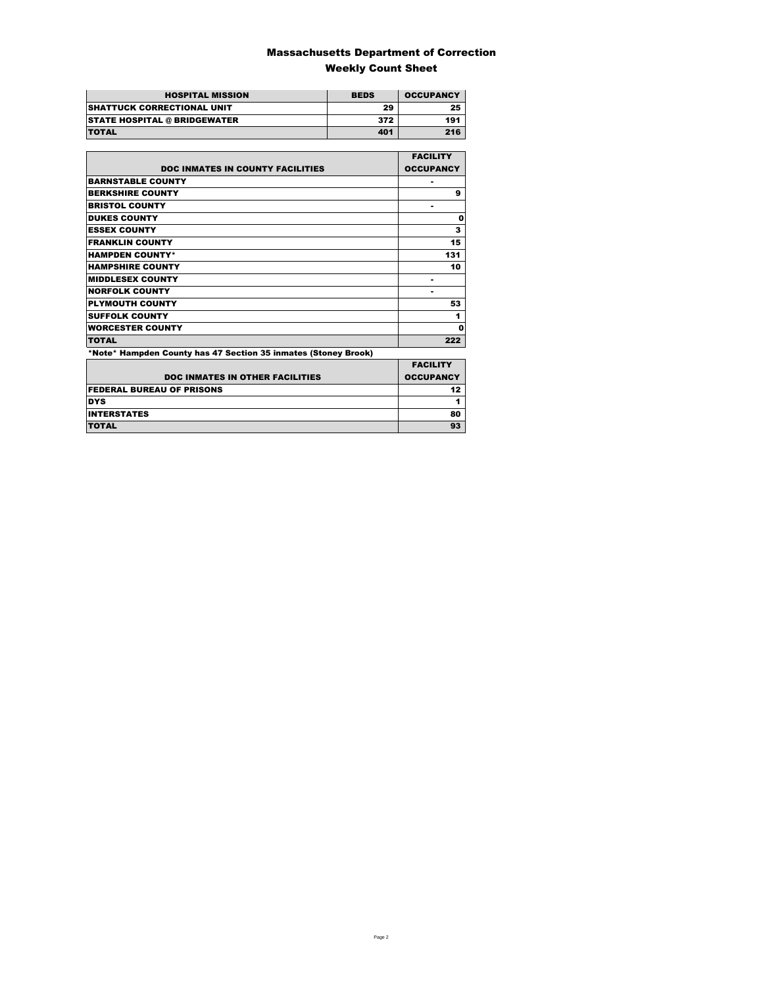### Massachusetts Department of Correction Weekly Count Sheet

| <b>HOSPITAL MISSION</b>             | <b>BEDS</b> | <b>OCCUPANCY</b> |
|-------------------------------------|-------------|------------------|
| <b>SHATTUCK CORRECTIONAL UNIT</b>   | 29          | 25               |
| <b>STATE HOSPITAL @ BRIDGEWATER</b> | 372         | 191              |
| <b>TOTAL</b>                        | 401         | 216              |

|                                                                | <b>FACILITY</b>  |
|----------------------------------------------------------------|------------------|
| <b>DOC INMATES IN COUNTY FACILITIES</b>                        | <b>OCCUPANCY</b> |
| <b>BARNSTABLE COUNTY</b>                                       |                  |
| <b>BERKSHIRE COUNTY</b>                                        | 9                |
| <b>BRISTOL COUNTY</b>                                          | ۰                |
| <b>DUKES COUNTY</b>                                            | 0                |
| <b>ESSEX COUNTY</b>                                            | 3                |
| <b>FRANKLIN COUNTY</b>                                         | 15               |
| <b>HAMPDEN COUNTY*</b>                                         | 131              |
| <b>HAMPSHIRE COUNTY</b>                                        | 10               |
| <b>MIDDLESEX COUNTY</b>                                        | ۰                |
| <b>NORFOLK COUNTY</b>                                          | ۰                |
| <b>PLYMOUTH COUNTY</b>                                         | 53               |
| <b>SUFFOLK COUNTY</b>                                          | 1                |
| <b>WORCESTER COUNTY</b>                                        | Ω                |
| <b>TOTAL</b>                                                   | 222              |
| *Note* Hampden County has 47 Section 35 inmates (Stoney Brook) |                  |
|                                                                | <b>EACILITY</b>  |

| <b>DOC INMATES IN OTHER FACILITIES</b> | <b>FACILITY</b><br><b>OCCUPANCY</b> |
|----------------------------------------|-------------------------------------|
| <b>FEDERAL BUREAU OF PRISONS</b>       |                                     |
| <b>DYS</b>                             |                                     |
| <b>INTERSTATES</b>                     | 80                                  |
| <b>TOTAL</b>                           |                                     |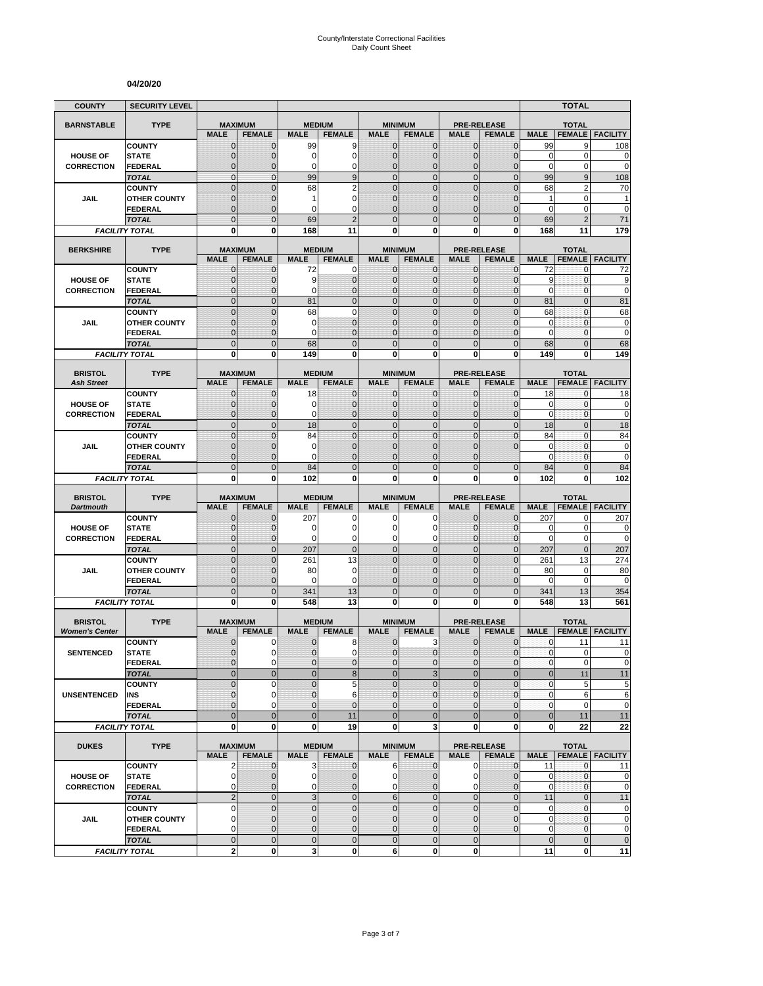#### **04/20/20**

| <b>COUNTY</b>                        | <b>SECURITY LEVEL</b>                 |                               |                              |                     |                                  |                                  |                                  |                                   |                                  |                            | <b>TOTAL</b>                  |                             |
|--------------------------------------|---------------------------------------|-------------------------------|------------------------------|---------------------|----------------------------------|----------------------------------|----------------------------------|-----------------------------------|----------------------------------|----------------------------|-------------------------------|-----------------------------|
| <b>BARNSTABLE</b>                    | <b>TYPE</b>                           | <b>MAXIMUM</b>                |                              | <b>MEDIUM</b>       |                                  |                                  | <b>MINIMUM</b>                   | <b>PRE-RELEASE</b>                |                                  |                            | <b>TOTAL</b>                  |                             |
|                                      |                                       | <b>MALE</b>                   | <b>FEMALE</b>                | <b>MALE</b>         | <b>FEMALE</b>                    | <b>MALE</b>                      | <b>FEMALE</b>                    | <b>MALE</b>                       | <b>FEMALE</b>                    | <b>MALE</b>                | <b>FEMALE</b>                 | <b>FACILITY</b>             |
|                                      | <b>COUNTY</b>                         | $\mathbf 0$                   | $\mathbf{0}$                 | 99                  | 9                                | $\mathbf 0$                      | 0                                | $\mathbf{0}$                      | $\mathbf{0}$                     | 99                         | 9                             | 108                         |
| <b>HOUSE OF</b><br><b>CORRECTION</b> | <b>STATE</b><br>FEDERAL               | $\overline{0}$<br>$\mathbf 0$ | $\mathbf 0$<br>$\mathbf 0$   | 0<br>0              | $\overline{0}$<br>0              | $\mathbf 0$<br>$\mathbf{0}$      | $\overline{0}$<br>$\mathbf 0$    | $\mathbf{0}$<br>$\mathbf 0$       | $\overline{0}$<br>$\overline{0}$ | $\mathbf 0$<br>$\mathbf 0$ | 0<br>0                        | 0<br>$\mathbf 0$            |
|                                      | <b>TOTAL</b>                          | $\mathbf 0$                   | $\mathbf{0}$                 | 99                  | 9                                | $\overline{0}$                   | $\mathbf 0$                      | $\mathbf{0}$                      | $\mathbf 0$                      | 99                         | 9                             | 108                         |
|                                      | <b>COUNTY</b>                         | $\mathbf 0$                   | $\mathbf{0}$                 | 68                  | $\overline{2}$                   | $\mathbf 0$                      | $\mathbf 0$                      | $\mathbf 0$                       | $\overline{0}$                   | 68                         | $\overline{2}$                | 70                          |
| JAIL                                 | <b>OTHER COUNTY</b>                   | $\mathbf 0$                   | $\mathbf{0}$                 | 1                   | $\overline{0}$                   | $\mathbf{0}$                     | $\overline{0}$                   | $\mathbf 0$                       | $\overline{0}$                   | $\mathbf{1}$               | $\mathbf 0$                   | 1                           |
|                                      | <b>FEDERAL</b>                        | $\overline{0}$                | $\mathbf{0}$                 | 0                   | $\Omega$                         | $\Omega$                         | $\overline{0}$                   | $\Omega$                          | $\overline{0}$                   | $\mathbf 0$                | 0                             | $\mathbf 0$                 |
|                                      | <b>TOTAL</b><br><b>FACILITY TOTAL</b> | $\overline{0}$<br>0           | $\Omega$<br>0                | 69<br>168           | $\overline{2}$<br>11             | $\Omega$<br>$\mathbf{0}$         | $\overline{0}$<br>0              | $\Omega$<br>0                     | $\overline{0}$<br>0              | 69<br>168                  | $\overline{2}$<br>11          | 71<br>179                   |
|                                      |                                       |                               |                              |                     |                                  |                                  |                                  |                                   |                                  |                            |                               |                             |
| <b>BERKSHIRE</b>                     | <b>TYPE</b>                           | <b>MAXIMUM</b>                |                              |                     | <b>MEDIUM</b>                    |                                  | <b>MINIMUM</b>                   | <b>PRE-RELEASE</b>                |                                  |                            | <b>TOTAL</b>                  |                             |
|                                      | <b>COUNTY</b>                         | <b>MALE</b><br>$\mathbf{0}$   | <b>FEMALE</b><br>$\mathbf 0$ | <b>MALE</b><br>72   | <b>FEMALE</b><br>0               | <b>MALE</b><br>$\mathbf{0}$      | <b>FEMALE</b><br>$\mathbf{0}$    | <b>MALE</b><br>$\mathbf{0}$       | <b>FEMALE</b><br>$\mathbf 0$     | <b>MALE</b><br>72          | <b>FEMALE</b><br>0            | <b>FACILITY</b><br>72       |
| <b>HOUSE OF</b>                      | <b>STATE</b>                          | 0                             | $\mathbf{0}$                 | 9                   | $\mathbf 0$                      | $\mathbf{0}$                     | $\mathbf 0$                      | $\mathbf{0}$                      | $\mathbf{0}$                     | 9                          | 0                             | 9                           |
| <b>CORRECTION</b>                    | <b>FEDERAL</b>                        | $\mathbf 0$                   | $\mathbf 0$                  | 0                   | $\overline{0}$                   | $\mathbf{0}$                     | $\overline{0}$                   | $\mathbf{0}$                      | $\mathbf 0$                      | $\mathbf 0$                | 0                             | $\mathbf 0$                 |
|                                      | <b>TOTAL</b>                          | $\overline{0}$                | $\mathbf{0}$                 | 81                  | $\overline{0}$                   | $\overline{0}$                   | $\overline{0}$                   | $\mathbf{0}$                      | $\overline{0}$                   | 81                         | $\overline{0}$                | 81                          |
|                                      | <b>COUNTY</b>                         | $\overline{0}$                | $\overline{0}$               | 68                  | $\overline{0}$                   | $\mathbf 0$                      | $\overline{0}$                   | $\overline{0}$                    | $\overline{0}$                   | 68                         | $\mathbf{0}$                  | 68                          |
| <b>JAIL</b>                          | <b>OTHER COUNTY</b><br><b>FEDERAL</b> | 0<br>$\mathbf 0$              | $\mathbf{0}$<br>$\mathbf{0}$ | 0<br>0              | $\overline{0}$<br>$\overline{0}$ | $\mathbf{0}$<br>$\mathbf{0}$     | $\mathbf 0$<br>$\overline{0}$    | $\Omega$<br>$\mathbf 0$           | $\mathbf{0}$<br>$\overline{0}$   | 0<br>$\mathbf 0$           | $\mathbf{0}$<br>$\mathbf{0}$  | $\pmb{0}$<br>$\mathbf 0$    |
|                                      | <b>TOTAL</b>                          | $\mathbf 0$                   | $\mathbf{0}$                 | 68                  | $\overline{0}$                   | $\mathbf{0}$                     | $\mathbf 0$                      | $\mathbf{0}$                      | $\mathbf 0$                      | 68                         | $\overline{0}$                | 68                          |
|                                      | <b>FACILITY TOTAL</b>                 | 0                             | $\bf{0}$                     | 149                 | 0                                | 0                                | $\bf{0}$                         | 0                                 | 0                                | 149                        | 0                             | 149                         |
|                                      |                                       |                               |                              |                     |                                  |                                  |                                  |                                   |                                  |                            |                               |                             |
| <b>BRISTOL</b><br><b>Ash Street</b>  | <b>TYPE</b>                           | <b>MAXIMUM</b><br><b>MALE</b> | <b>FEMALE</b>                | <b>MALE</b>         | <b>MEDIUM</b><br><b>FEMALE</b>   | <b>MALE</b>                      | <b>MINIMUM</b><br><b>FEMALE</b>  | <b>PRE-RELEASE</b><br><b>MALE</b> | <b>FEMALE</b>                    | <b>MALE</b>                | <b>TOTAL</b><br><b>FEMALE</b> | <b>FACILITY</b>             |
|                                      | <b>COUNTY</b>                         | 0                             | $\mathbf{0}$                 | 18                  | 0                                | $\mathbf 0$                      | 0                                | $\mathbf{0}$                      | $\mathbf{0}$                     | 18                         | 0                             | 18                          |
| <b>HOUSE OF</b>                      | <b>STATE</b>                          | $\mathbf{0}$                  | $\mathbf{0}$                 | 0                   | $\mathbf 0$                      | $\mathbf{0}$                     | $\mathbf{0}$                     | $\mathbf{0}$                      | $\mathbf{0}$                     | 0                          | 0                             | 0                           |
| <b>CORRECTION</b>                    | <b>FEDERAL</b>                        | $\mathbf{0}$                  | $\mathbf{0}$                 | 0                   | $\mathbf{0}$                     | $\mathbf{0}$                     | $\overline{0}$                   | $\mathbf{0}$                      | $\overline{0}$                   | $\mathbf 0$                | 0                             | $\mathbf 0$                 |
|                                      | <b>TOTAL</b>                          | $\overline{0}$                | $\mathbf{0}$                 | 18                  | $\overline{0}$                   | $\mathbf 0$                      | $\overline{0}$                   | $\mathbf{0}$                      | $\overline{0}$                   | 18                         | $\overline{0}$                | 18                          |
|                                      | <b>COUNTY</b>                         | $\overline{0}$                | $\Omega$                     | 84                  | $\overline{0}$                   | $\mathbf 0$                      | $\overline{0}$                   | $\overline{0}$                    | $\overline{0}$                   | 84                         | $\overline{0}$                | 84                          |
| JAIL                                 | <b>OTHER COUNTY</b><br>FEDERAL        | $\mathbf 0$<br>$\overline{0}$ | $\mathbf 0$<br>$\mathbf{0}$  | 0<br>0              | $\overline{0}$<br>$\overline{0}$ | $\mathbf{0}$<br>$\Omega$         | $\overline{0}$<br>$\overline{0}$ | $\mathbf 0$<br>$\Omega$           | $\overline{0}$                   | $\mathbf 0$<br>$\mathbf 0$ | $\mathbf{0}$<br>0             | $\mathbf 0$<br>$\mathbf 0$  |
|                                      | <b>TOTAL</b>                          | $\overline{0}$                | $\mathbf{0}$                 | 84                  | $\overline{0}$                   | $\overline{0}$                   | $\overline{0}$                   | $\overline{0}$                    | $\mathbf{0}$                     | 84                         | $\overline{0}$                | 84                          |
|                                      | <b>FACILITY TOTAL</b>                 | 0                             | 0                            | 102                 | 0                                | 0                                | 0                                | 0                                 | 0                                | 102                        | 0                             | 102                         |
|                                      |                                       |                               |                              |                     |                                  |                                  |                                  |                                   |                                  |                            |                               |                             |
| <b>BRISTOL</b><br><b>Dartmouth</b>   | <b>TYPE</b>                           | <b>MAXIMUM</b><br><b>MALE</b> | <b>FEMALE</b>                | <b>MALE</b>         | <b>MEDIUM</b><br><b>FEMALE</b>   | <b>MALE</b>                      | <b>MINIMUM</b><br><b>FEMALE</b>  | <b>PRE-RELEASE</b><br><b>MALE</b> | <b>FEMALE</b>                    | <b>MALE</b>                | <b>TOTAL</b><br><b>FEMALE</b> | <b>FACILITY</b>             |
|                                      | <b>COUNTY</b>                         | $\mathbf 0$                   | $\mathbf 0$                  | 207                 | 0                                | 0                                | 0                                | $\mathbf 0$                       | $\overline{0}$                   | 207                        | 0                             | 207                         |
| <b>HOUSE OF</b>                      | <b>STATE</b>                          | $\mathbf 0$                   | $\mathbf{0}$                 | 0                   | $\mathbf 0$                      | $\Omega$                         | 0                                | $\Omega$                          | $\mathbf{0}$                     | 0                          | $\mathbf 0$                   | 0                           |
| <b>CORRECTION</b>                    | <b>FEDERAL</b>                        | $\mathbf 0$                   | $\mathbf{0}$                 | 0                   | 0                                | $\mathbf 0$                      | 0                                | $\mathbf 0$                       | $\mathbf{0}$                     | $\mathbf 0$                | 0                             | $\mathbf 0$                 |
|                                      | <b>TOTAL</b>                          | $\mathbf 0$                   | $\mathbf{0}$                 | 207                 | $\mathbf 0$                      | $\overline{0}$<br>$\mathbf{0}$   | $\mathbf 0$                      | $\mathbf{0}$                      | $\overline{0}$                   | 207                        | $\mathbf{0}$                  | 207                         |
| JAIL                                 | <b>COUNTY</b><br><b>OTHER COUNTY</b>  | $\mathbf 0$<br>$\overline{0}$ | $\mathbf{0}$<br>$\mathbf{0}$ | 261<br>80           | 13<br>$\mathbf 0$                | $\mathbf{0}$                     | $\mathbf 0$<br>$\overline{0}$    | $\mathbf{0}$<br>$\mathbf 0$       | $\mathbf 0$<br>$\overline{0}$    | 261<br>80                  | 13<br>0                       | 274<br>80                   |
|                                      | FEDERAL                               | $\mathbf 0$                   | $\mathbf{0}$                 | 0                   | 0                                | $\mathbf{0}$                     | 0                                | $\mathbf{0}$                      | 0                                | 0                          | $\mathbf 0$                   | $\mathbf 0$                 |
|                                      | <b>TOTAL</b>                          | $\mathbf 0$                   | $\overline{0}$               | 341                 | 13                               | $\overline{0}$                   | $\mathbf 0$                      | $\overline{0}$                    | $\mathbf 0$                      | 341                        | 13                            | 354                         |
|                                      | <b>FACILITY TOTAL</b>                 | $\mathbf 0$                   | $\mathbf{0}$                 | 548                 | 13                               | $\mathbf{0}$                     | $\bf{0}$                         | 0                                 | 0                                | 548                        | 13                            | 561                         |
| <b>BRISTOL</b>                       | <b>TYPE</b>                           | <b>MAXIMUM</b>                |                              |                     | <b>MEDIUM</b>                    |                                  | <b>MINIMUM</b>                   | <b>PRE-RELEASE</b>                |                                  |                            | <b>TOTAL</b>                  |                             |
| <b>Women's Center</b>                |                                       | <b>MALE</b>                   | <b>FEMALE</b>                | <b>MALE</b>         | <b>FEMALE</b>                    | <b>MALE</b>                      | <b>FEMALE</b>                    | <b>MALE</b>                       | <b>FEMALE</b>                    | <b>MALE</b>                | <b>FEMALE</b>                 | <b>FACILITY</b>             |
|                                      | <b>COUNTY</b>                         | 0                             | 0                            | 0                   | 8                                | $\mathbf 0$                      | 3                                | 0                                 | $\mathbf 0$                      | 0                          | 11                            | 11                          |
| <b>SENTENCED</b>                     | <b>STATE</b>                          | $\overline{0}$                | $\Omega$                     | $\overline{0}$      | 0                                | $\overline{0}$                   | $\overline{0}$                   | $\mathbf{0}$                      | $\mathbf 0$                      | $\mathbf{0}$               | 0                             | $\mathbf 0$                 |
|                                      | <b>FEDERAL</b>                        | 0<br>$\mathbf 0$              | $\mathbf 0$<br>$\mathbf{0}$  | 0<br>$\overline{0}$ | $\mathbf 0$<br>8                 | $\mathbf{0}$<br>$\mathbf{0}$     | $\mathbf 0$<br>3                 | $\mathbf 0$<br>$\mathbf{0}$       | $\mathbf 0$<br>$\overline{0}$    | $\pmb{0}$<br>$\bf 0$       | 0                             | $\pmb{0}$<br>11             |
|                                      | <b>TOTAL</b><br><b>COUNTY</b>         | $\mathbf 0$                   | $\mathbf 0$                  | $\overline{0}$      | 5                                | $\Omega$                         | $\overline{0}$                   | $\mathbf 0$                       | $\overline{0}$                   | $\pmb{0}$                  | 11<br>5                       | 5                           |
| <b>UNSENTENCED</b>                   | INS                                   | 0                             | $\mathbf 0$                  | $\pmb{0}$           | 6                                | $\mathbf 0$                      | 0                                | $\mathbf{0}$                      | $\overline{0}$                   | $\pmb{0}$                  | 6                             | 6                           |
|                                      | <b>FEDERAL</b>                        | $\overline{0}$                | $\Omega$                     | $\overline{0}$      | $\overline{0}$                   | $\mathbf{0}$                     | $\mathbf 0$                      | $\mathbf 0$                       | $\overline{0}$                   | $\pmb{0}$                  | 0                             | $\mathbf 0$                 |
|                                      | <b>TOTAL</b>                          | $\overline{0}$                | $\mathbf{0}$                 | $\mathbf 0$         | 11                               | $\overline{0}$                   | $\overline{0}$                   | $\overline{0}$                    | $\overline{0}$                   | $\bf 0$                    | 11                            | 11                          |
|                                      | <b>FACILITY TOTAL</b>                 | $\mathbf{0}$                  | $\mathbf{0}$                 | 0                   | 19                               | $\mathbf{0}$                     | 3                                | $\mathbf 0$                       | 0                                | 0                          | 22                            | 22                          |
| <b>DUKES</b>                         | <b>TYPE</b>                           | <b>MAXIMUM</b>                |                              |                     | <b>MEDIUM</b>                    |                                  | <b>MINIMUM</b>                   |                                   | <b>PRE-RELEASE</b>               |                            | <b>TOTAL</b>                  |                             |
|                                      |                                       | <b>MALE</b>                   | <b>FEMALE</b>                | <b>MALE</b>         | <b>FEMALE</b>                    | <b>MALE</b>                      | <b>FEMALE</b>                    | <b>MALE</b>                       | <b>FEMALE</b>                    |                            |                               | <b>MALE FEMALE FACILITY</b> |
|                                      | <b>COUNTY</b>                         | 2                             | $\mathbf{0}$                 | 3                   | $\mathbf 0$                      | 6                                | $\mathbf 0$                      | $\mathbf 0$                       | $\mathbf 0$                      | 11                         | $\mathbf{0}$                  | 11                          |
| <b>HOUSE OF</b>                      | <b>STATE</b>                          | $\mathbf 0$<br>0              | 0                            | $\pmb{0}$<br>0      | $\overline{0}$                   | $\overline{0}$<br>$\overline{0}$ | 0<br>$\overline{0}$              | 0                                 | $\mathbf 0$<br>$\mathbf 0$       | 0<br>$\pmb{0}$             | 0<br>0                        | $\pmb{0}$<br>$\mathbf 0$    |
| <b>CORRECTION</b>                    | <b>FEDERAL</b><br><b>TOTAL</b>        | $\overline{2}$                | $\mathbf{0}$<br>$\mathbf 0$  | $\overline{3}$      | $\mathbf 0$<br>$\mathbf 0$       | $6\overline{6}$                  | $\mathbf 0$                      | $\mathbf 0$<br>$\mathbf 0$        | $\overline{0}$                   | 11                         | $\mathbf 0$                   | 11                          |
|                                      | <b>COUNTY</b>                         | 0                             | $\mathbf 0$                  | $\pmb{0}$           | $\mathbf 0$                      | $\mathbf{0}$                     | $\mathbf 0$                      | $\mathbf 0$                       | $\mathbf 0$                      | $\mathbf 0$                | $\pmb{0}$                     | $\pmb{0}$                   |
| JAIL                                 | <b>OTHER COUNTY</b>                   | $\overline{0}$                | $\mathbf{0}$                 | $\mathbf 0$         | $\overline{0}$                   | $\mathbf{0}$                     | $\mathbf 0$                      | $\mathbf{0}$                      | $\mathbf 0$                      | $\mathbf 0$                | $\mathbf{0}$                  | $\pmb{0}$                   |
|                                      | <b>FEDERAL</b>                        | 0                             | $\mathbf 0$                  | 0                   | 0                                | $\mathbf 0$                      | 0                                | $\mathbf 0$                       | $\mathbf 0$                      | 0                          | $\pmb{0}$                     | $\pmb{0}$                   |
|                                      | <b>TOTAL</b>                          | $\mathbf 0$                   | $\mathbf{0}$                 | $\pmb{0}$           | $\mathbf 0$                      | $\mathbf 0$                      | $\mathbf 0$                      | $\mathbf{0}$                      |                                  | $\pmb{0}$                  | $\mathbf 0$                   | $\mathbf 0$                 |
|                                      | <b>FACILITY TOTAL</b>                 | $\overline{a}$                | $\mathbf 0$                  | 3                   | $\mathbf{0}$                     | 6 <sup>1</sup>                   | $\mathbf{0}$                     | $\mathbf{0}$                      |                                  | 11                         | 0                             | 11                          |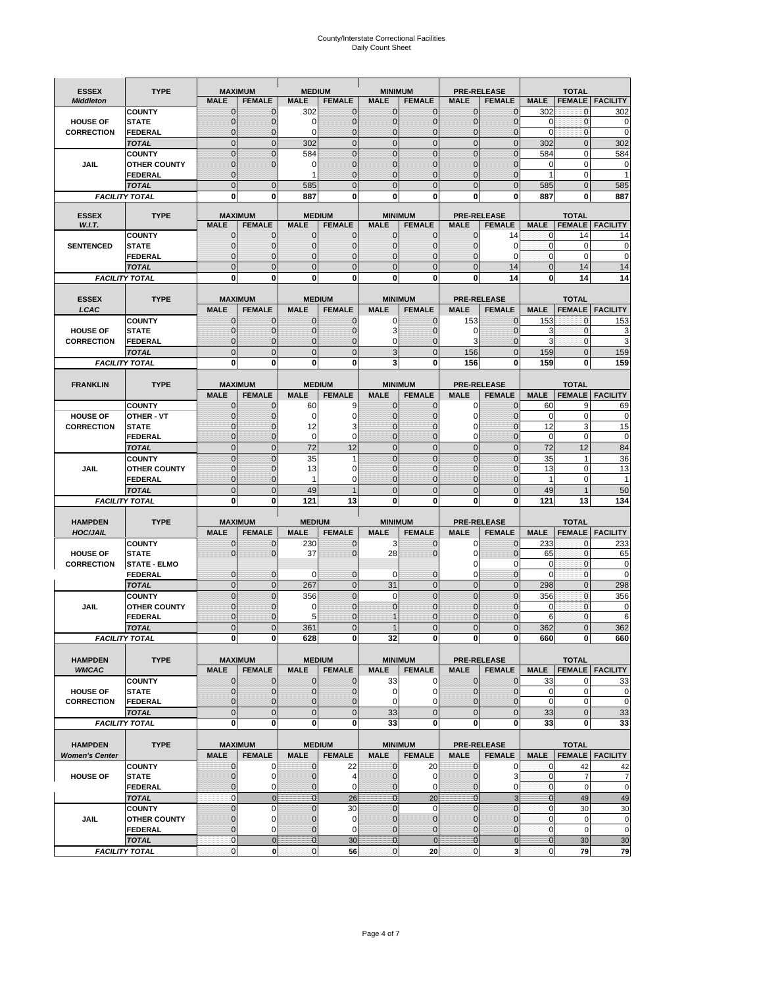# County/Interstate Correctional Facilities Daily Count Sheet

| <b>ESSEX</b>           | <b>TYPE</b>                           |                               | <b>MAXIMUM</b>                   | <b>MEDIUM</b>                    |                                | <b>MINIMUM</b>                 |                                 |                               | <b>PRE-RELEASE</b>                  |                                | <b>TOTAL</b>                           |                          |
|------------------------|---------------------------------------|-------------------------------|----------------------------------|----------------------------------|--------------------------------|--------------------------------|---------------------------------|-------------------------------|-------------------------------------|--------------------------------|----------------------------------------|--------------------------|
| <b>Middleton</b>       |                                       | <b>MALE</b>                   | <b>FEMALE</b>                    | <b>MALE</b>                      | <b>FEMALE</b>                  | <b>MALE</b>                    | <b>FEMALE</b>                   | MALE                          | <b>FEMALE</b>                       | <b>MALE</b>                    | <b>FEMALE</b>                          | <b>FACILITY</b>          |
|                        | <b>COUNTY</b>                         | 0                             | 0                                | 302                              | 0                              | $\mathbf 0$                    | $\mathbf{0}$                    | $\mathbf{0}$                  | $\Omega$                            | 302                            | 0                                      | 302                      |
| <b>HOUSE OF</b>        | <b>STATE</b>                          | 0                             | $\mathbf 0$                      | $\Omega$                         | 0                              | $\mathbf{0}$                   | $\Omega$                        | $\mathbf 0$                   | $\Omega$                            | $\Omega$                       | $\Omega$                               | 0                        |
| <b>CORRECTION</b>      | <b>FEDERAL</b>                        | 0                             | $\mathbf 0$                      | 0                                | 0                              | $\mathbf{0}$                   | $\mathbf 0$                     | $\mathbf{0}$                  | $\mathbf 0$                         | $\mathbf 0$                    | $\mathbf{0}$                           | $\mathbf 0$              |
|                        | <b>TOTAL</b><br><b>COUNTY</b>         | $\overline{0}$<br>$\mathbf 0$ | $\overline{0}$<br>$\overline{0}$ | 302<br>584                       | $\mathbf 0$<br>$\overline{0}$  | $\mathbf 0$<br>$\mathbf{0}$    | $\overline{0}$<br>$\Omega$      | $\mathbf 0$<br>$\mathbf 0$    | $\overline{0}$<br>$\Omega$          | 302<br>584                     | $\mathbf{0}$<br>$\mathbf 0$            | 302<br>584               |
| JAIL                   | <b>OTHER COUNTY</b>                   | $\mathbf 0$                   | $\overline{0}$                   | 0                                | 0                              | $\mathbf{0}$                   | $\mathbf{0}$                    | $\mathbf 0$                   | ſ                                   | 0                              | $\mathbf 0$                            | 0                        |
|                        | <b>FEDERAL</b>                        | $\mathbf{0}$                  |                                  |                                  | $\Omega$                       | $\mathbf{0}$                   | $\Omega$                        | $\mathbf{0}$                  | 0                                   | 1                              | $\mathbf 0$                            |                          |
|                        | <b>TOTAL</b>                          | $\overline{0}$                | $\mathbf 0$                      | 585                              | $\Omega$                       | $\Omega$                       | $\Omega$                        | $\overline{0}$                | $\Omega$                            | 585                            | $\Omega$                               | 585                      |
|                        | <b>FACILITY TOTAL</b>                 | 0                             | 0                                | 887                              | O                              | $\bf{0}$                       | 0                               | 0                             | 0                                   | 887                            | 0                                      | 887                      |
|                        |                                       |                               |                                  |                                  |                                |                                |                                 |                               |                                     |                                |                                        |                          |
| <b>ESSEX</b><br>W.I.T. | <b>TYPE</b>                           | <b>MALE</b>                   | <b>MAXIMUM</b><br><b>FEMALE</b>  | <b>MALE</b>                      | <b>MEDIUM</b><br><b>FEMALE</b> | <b>MALE</b>                    | <b>MINIMUM</b><br><b>FEMALE</b> | <b>MALE</b>                   | <b>PRE-RELEASE</b><br><b>FEMALE</b> | <b>MALE</b>                    | <b>TOTAL</b><br><b>FEMALE</b>          | FACILITY                 |
|                        | <b>COUNTY</b>                         | $\mathbf{0}$                  | 0                                | $\mathbf 0$                      | 0                              | $\mathbf 0$                    | $\mathbf{0}$                    | 0                             | 14                                  | 0                              | 14                                     | 14                       |
| <b>SENTENCED</b>       | <b>STATE</b>                          | 0                             | $\mathbf 0$                      | $\mathbf{0}$                     | $\mathbf 0$                    | $\mathbf{0}$                   | $\mathbf{0}$                    | 0                             | $\Omega$                            | $\mathbf{0}$                   | $\mathbf 0$                            | 0                        |
|                        | <b>FEDERAL</b>                        | $\overline{0}$                | $\mathbf 0$                      | $\mathbf{0}$                     | 0                              | $\mathbf{0}$                   | 0                               | $\mathbf 0$                   | 0                                   | $\mathbf{0}$                   | $\Omega$                               | $\mathbf 0$              |
|                        | <b>TOTAL</b>                          | $\overline{0}$                | $\overline{0}$                   | $\mathbf{0}$                     | $\overline{0}$                 | $\mathbf{0}$                   | $\overline{0}$                  | $\overline{0}$                | 14                                  | $\mathbf{0}$                   | 14                                     | 14                       |
|                        | <b>FACILITY TOTAL</b>                 | 0                             | 0                                | $\bf{0}$                         | O                              | $\bf{0}$                       | 0                               | 0                             | 14                                  | $\bf{0}$                       | 14                                     | 14                       |
| <b>ESSEX</b>           | <b>TYPE</b>                           |                               | <b>MAXIMUM</b>                   |                                  | <b>MEDIUM</b>                  |                                | <b>MINIMUM</b>                  |                               | <b>PRE-RELEASE</b>                  |                                | <b>TOTAL</b>                           |                          |
| LCAC                   |                                       | <b>MALE</b>                   | <b>FEMALE</b>                    | <b>MALE</b>                      | <b>FEMALE</b>                  | <b>MALE</b>                    | <b>FEMALE</b>                   | <b>MALE</b>                   | <b>FEMALE</b>                       | <b>MALE</b>                    |                                        | <b>FEMALE</b> FACILITY   |
|                        | <b>COUNTY</b>                         | 0                             | 0                                | $\mathbf{0}$                     | 0                              | 0                              | $\mathbf{0}$                    | 153                           | $\Omega$                            | 153                            | $\Omega$                               | 153                      |
| <b>HOUSE OF</b>        | <b>STATE</b>                          | 0                             | $\overline{0}$                   | $\mathbf 0$                      | 0                              | 3                              | $\Omega$                        | 0                             | $\Omega$                            | 3                              | $\mathbf 0$                            | 3                        |
| <b>CORRECTION</b>      | FEDERAL                               | 0                             | 0                                | $\mathbf{0}$                     | 0                              | 0                              | $\Omega$                        | 3                             | $\Omega$                            | 3                              | $\mathbf 0$                            | 3                        |
|                        | <b>TOTAL</b>                          | $\Omega$                      | $\overline{0}$                   | $\mathbf{0}$                     | $\overline{0}$                 | 3                              | $\Omega$                        | 156                           | $\Omega$                            | 159                            | $\Omega$                               | 159                      |
|                        | <b>FACILITY TOTAL</b>                 | 0                             | 0                                | 0                                | 0                              | 3                              | 0                               | 156                           | 0                                   | 159                            | 0                                      | 159                      |
|                        | <b>TYPE</b>                           |                               | <b>MAXIMUM</b>                   |                                  | <b>MEDIUM</b>                  |                                | <b>MINIMUM</b>                  | <b>PRE-RELEASE</b>            |                                     |                                | <b>TOTAL</b>                           |                          |
| <b>FRANKLIN</b>        |                                       | <b>MALE</b>                   | <b>FEMALE</b>                    | <b>MALE</b>                      | <b>FEMALE</b>                  | <b>MALE</b>                    | <b>FEMALE</b>                   | <b>MALE</b>                   | <b>FEMALE</b>                       | <b>MALE</b>                    | <b>FEMALE</b>                          | <b>FACILITY</b>          |
|                        | <b>COUNTY</b>                         | $\mathbf{0}$                  | 0                                | 60                               | 9                              | $\mathbf{0}$                   | 0                               | 0                             | $\Omega$                            | 60                             | 9                                      | 69                       |
| <b>HOUSE OF</b>        | <b>OTHER - VT</b>                     | 0                             | $\overline{0}$                   | $\mathbf 0$                      | 0                              | $\mathbf{0}$                   | $\mathbf 0$                     | $\mathbf 0$                   | $\Omega$                            | $\mathbf 0$                    | $\mathbf 0$                            | 0                        |
| <b>CORRECTION</b>      | <b>STATE</b>                          | $\Omega$                      | $\mathbf 0$                      | 12                               | 3                              | $\Omega$                       | $\Omega$                        | 0                             | $\sqrt{ }$                          | 12                             | 3                                      | 15                       |
|                        | FEDERAL                               | $\mathbf{0}$                  | $\overline{0}$                   | $\mathbf 0$                      | 0                              | $\mathbf{0}$                   | $\mathbf{0}$                    | 0                             | $\overline{0}$                      | $\mathbf 0$                    | $\mathbf 0$                            | $\pmb{0}$                |
|                        | <b>TOTAL</b>                          | $\overline{0}$                | $\overline{0}$                   | 72                               | 12                             | $\mathbf{0}$                   | $\mathbf{0}$                    | $\mathbf{0}$                  | $\overline{0}$                      | 72                             | 12                                     | 84                       |
|                        | <b>COUNTY</b>                         | $\Omega$                      | $\overline{0}$                   | 35                               | 1                              | $\Omega$<br>$\mathbf 0$        | $\Omega$                        | $\mathbf 0$<br>$\mathbf 0$    | $\Omega$<br>$\sqrt{ }$              | 35<br>13                       | $\overline{\mathbf{1}}$<br>$\mathbf 0$ | 36                       |
| JAIL                   | <b>OTHER COUNTY</b><br><b>FEDERAL</b> | 0<br>0                        | $\mathbf 0$<br>0                 | 13<br>$\mathbf{1}$               | 0<br>0                         | $\mathbf{0}$                   | $\Omega$<br>$\Omega$            | $\mathbf{0}$                  | $\Omega$                            | 1                              | $\mathbf 0$                            | 13<br>$\mathbf{1}$       |
|                        | <b>TOTAL</b>                          | $\mathbf{0}$                  | $\overline{0}$                   | 49                               | 1                              | $\mathbf{0}$                   | $\Omega$                        | $\overline{0}$                | $\Omega$                            | 49                             | $\overline{\mathbf{1}}$                | 50                       |
|                        | <b>FACILITY TOTAL</b>                 | 0                             | 0                                | 121                              | 13                             | $\bf{0}$                       | 0                               | 0                             | 0                                   | 121                            | 13                                     | 134                      |
|                        |                                       |                               |                                  |                                  |                                |                                |                                 |                               |                                     |                                |                                        |                          |
| <b>HAMPDEN</b>         | <b>TYPE</b>                           |                               | <b>MAXIMUM</b>                   | <b>MEDIUM</b>                    |                                | <b>MINIMUM</b>                 |                                 |                               | <b>PRE-RELEASE</b>                  |                                | <b>TOTAL</b>                           |                          |
| <b>HOC/JAIL</b>        |                                       | <b>MALE</b>                   | <b>FEMALE</b>                    | <b>MALE</b>                      | <b>FEMALE</b>                  | <b>MALE</b>                    | <b>FEMALE</b>                   | <b>MALE</b>                   | <b>FEMALE</b>                       | <b>MALE</b>                    | <b>FEMALE</b>                          | <b>FACILITY</b>          |
| <b>HOUSE OF</b>        | <b>COUNTY</b><br><b>STATE</b>         | 0<br>0                        | $\mathbf 0$<br>$\overline{0}$    | 230<br>37                        | 0<br>0                         | 3<br>28                        | 0<br>$\Omega$                   | 0<br>0                        | $\mathbf 0$<br>$\Omega$             | 233<br>65                      | $\mathbf{0}$<br>$\mathbf{0}$           | 233<br>65                |
| <b>CORRECTION</b>      | <b>STATE - ELMO</b>                   |                               |                                  |                                  |                                |                                |                                 | 0                             | 0                                   | 0                              | $\mathbf{0}$                           | $\mathbf 0$              |
|                        | <b>FEDERAL</b>                        | $\mathbf{0}$                  | $\mathbf 0$                      | $\Omega$                         | 0                              | 0                              | $\mathbf{0}$                    | 0                             | 0                                   | $\Omega$                       | $\Omega$                               | 0                        |
|                        | <b>TOTAL</b>                          | $\overline{0}$                | $\overline{0}$                   | 267                              | $\overline{0}$                 | 31                             | $\mathbf{0}$                    | $\overline{0}$                | $\Omega$                            | 298                            | $\Omega$                               | 298                      |
|                        | <b>COUNTY</b>                         | $\overline{0}$                | $\overline{0}$                   | 356                              | 0                              | $\mathbf 0$                    | $\overline{0}$                  | $\overline{0}$                | $\overline{0}$                      | 356                            | $\mathbf{0}$                           | 356                      |
| <b>JAIL</b>            | <b>OTHER COUNTY</b>                   | 0                             | $\mathbf 0$                      | 0                                | 0                              | $\mathbf{0}$                   | $\Omega$                        | $\mathbf 0$                   | $\sqrt{ }$                          | $\mathbf 0$                    | $\mathbf{0}$                           | 0                        |
|                        | <b>FEDERAL</b>                        | $\Omega$<br>$\overline{0}$    | $\mathbf 0$<br>$\overline{0}$    | 5                                | $\Omega$<br>$\Omega$           |                                | $\Omega$<br>$\overline{0}$      | $\mathbf 0$<br>$\overline{0}$ | $\Omega$<br>$\overline{0}$          | 6                              | $\Omega$<br>U                          | 6<br>362                 |
|                        | <b>TOTAL</b><br><b>FACILITY TOTAL</b> | $\mathbf{0}$                  | $\boldsymbol{0}$                 | 361<br>628                       | 0                              | 32                             | 0                               |                               | 0                                   | 362<br>660                     | 0                                      | 660                      |
|                        |                                       |                               |                                  |                                  |                                |                                |                                 | $\mathbf{0}$                  |                                     |                                |                                        |                          |
| <b>HAMPDEN</b>         | <b>TYPE</b>                           |                               | <b>MAXIMUM</b>                   |                                  | <b>MEDIUM</b>                  |                                | <b>MINIMUM</b>                  |                               | <b>PRE-RELEASE</b>                  |                                | <b>TOTAL</b>                           |                          |
| <b>WMCAC</b>           |                                       | <b>MALE</b>                   | <b>FEMALE</b>                    | <b>MALE</b>                      | <b>FEMALE</b>                  | <b>MALE</b>                    | <b>FEMALE</b>                   | <b>MALE</b>                   | <b>FEMALE</b>                       | <b>MALE</b>                    |                                        | <b>FEMALE</b>   FACILITY |
|                        | <b>COUNTY</b>                         | $\mathbf 0$                   | $\mathbf{0}$                     | $\mathbf 0$                      | 0                              | 33                             | 0                               | $\mathbf 0$                   | $\mathbf 0$                         | 33                             | 0                                      | 33                       |
| <b>HOUSE OF</b>        | <b>STATE</b>                          | $\mathbf{0}$                  | $\mathbf{0}$                     | $\overline{0}$                   | 0                              | $\mathbf 0$                    | 0                               | $\mathbf{0}$                  | $\overline{0}$                      | $\mathbf 0$                    | $\mathbf 0$                            | 0                        |
| <b>CORRECTION</b>      | <b>FEDERAL</b><br><b>TOTAL</b>        | $\mathbf{0}$<br>$\mathbf{0}$  | 0<br>$\overline{0}$              | $\overline{0}$<br>$\overline{0}$ | 0<br>$\overline{0}$            | $\mathbf 0$<br>33              | $\Omega$<br>$\overline{0}$      | 0<br>$\mathbf 0$              | 0<br>$\mathbf 0$                    | $\mathbf 0$<br>33              | $\mathbf 0$<br>$\mathbf{0}$            | $\mathbf 0$<br>33        |
|                        | <b>FACILITY TOTAL</b>                 | $\bf{0}$                      | $\mathbf{0}$                     | $\mathbf{0}$                     | 0                              | 33                             | 0                               | 0                             | $\bf{0}$                            | 33                             | 0                                      | 33                       |
|                        |                                       |                               |                                  |                                  |                                |                                |                                 |                               |                                     |                                |                                        |                          |
| <b>HAMPDEN</b>         | <b>TYPE</b>                           |                               | <b>MAXIMUM</b>                   |                                  | <b>MEDIUM</b>                  |                                | <b>MINIMUM</b>                  |                               | <b>PRE-RELEASE</b>                  |                                | <b>TOTAL</b>                           |                          |
| <b>Women's Center</b>  |                                       | <b>MALE</b>                   | <b>FEMALE</b>                    | <b>MALE</b>                      | <b>FEMALE</b>                  | <b>MALE</b>                    | <b>FEMALE</b>                   | <b>MALE</b>                   | <b>FEMALE</b>                       | <b>MALE</b>                    |                                        | <b>FEMALE</b> FACILITY   |
|                        | <b>COUNTY</b>                         | 0                             | 0                                | $\mathbf 0$                      | 22                             | 0                              | 20                              | 0                             | 0                                   | 0                              | 42                                     | 42                       |
| <b>HOUSE OF</b>        | <b>STATE</b>                          | $\mathbf{0}$                  | $\mathbf 0$                      | $\mathbf{0}$                     | 4                              | $\mathbf{0}$                   | 0                               | $\mathbf 0$                   | 3                                   | $\mathbf 0$                    | $\overline{7}$                         | $\overline{7}$           |
|                        | <b>FEDERAL</b><br><b>TOTAL</b>        | 0<br>$\mathbf{0}$             | 0<br>$\mathbf 0$                 | 0<br>$\overline{0}$              | 0<br>26                        | $\mathbf{0}$<br>$\overline{0}$ | 0<br>20                         | $\mathbf{0}$<br>$\mathbf{0}$  | 0<br>3                              | $\overline{0}$<br>$\mathbf{0}$ | $\mathbf 0$<br>49                      | $\mathbf 0$              |
|                        | <b>COUNTY</b>                         | $\overline{0}$                | $\mathbf 0$                      | $\mathbf{0}$                     | 30                             | $\mathbf{0}$                   | $\mathbf 0$                     | $\overline{0}$                | $\mathbf 0$                         | $\mathbf 0$                    | 30                                     | 49<br>30                 |
| <b>JAIL</b>            | <b>OTHER COUNTY</b>                   | 0                             | $\mathbf 0$                      | $\mathbf 0$                      | 0                              | $\mathbf 0$                    | $\mathbf{0}$                    | $\mathbf{0}$                  | $\overline{0}$                      | $\mathbf 0$                    | $\mathbf 0$                            | $\pmb{0}$                |
|                        | <b>FEDERAL</b>                        | $\overline{0}$                | $\mathbf 0$                      | $\mathbf{0}$                     | 0                              | $\mathbf 0$                    | $\mathbf{0}$                    | $\mathbf 0$                   | $\overline{0}$                      | $\mathbf 0$                    | $\mathbf 0$                            | $\mathbf 0$              |
|                        | <b>TOTAL</b>                          | $\mathbf 0$                   | $\mathbf 0$                      | $\overline{0}$                   | 30                             | $\overline{0}$                 | $\mathbf 0$                     | $\mathbf{0}$                  | $\mathbf 0$                         | $\mathbf{0}$                   | 30                                     | 30                       |
|                        | <b>FACILITY TOTAL</b>                 | $\pmb{0}$                     | $\mathbf 0$                      | $\mathbf{O}$                     | 56                             | $\mathbf{0}$                   | 20                              | $\mathbf 0$                   | 3                                   | $\overline{0}$                 | 79                                     | 79                       |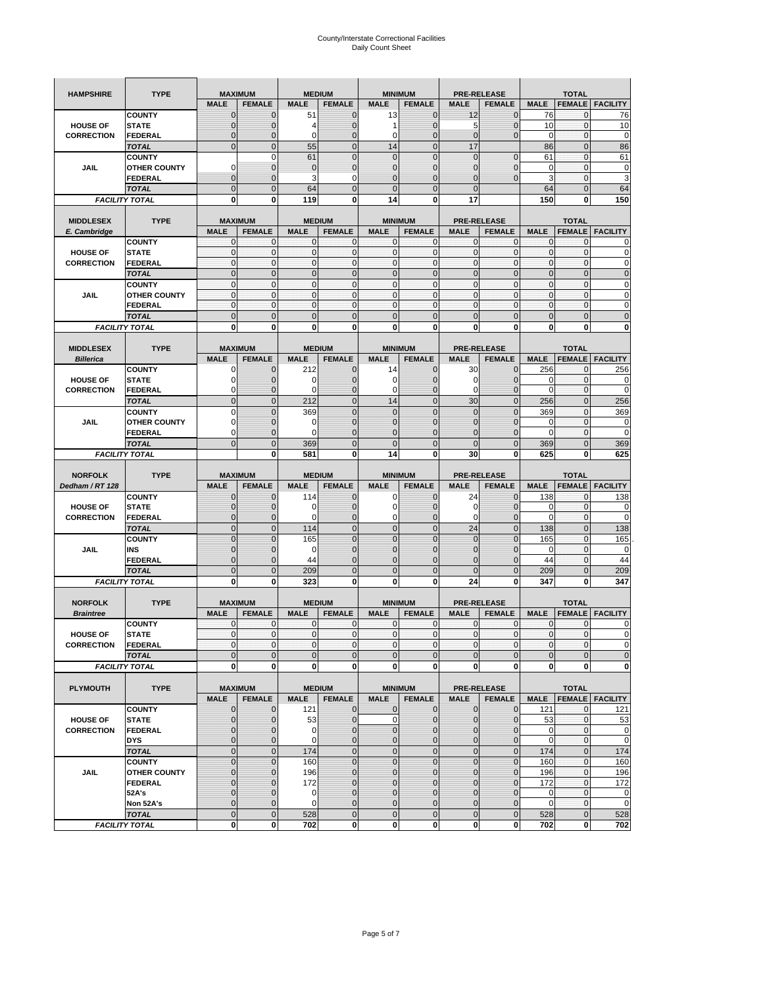| <b>HAMPSHIRE</b>  | <b>TYPE</b>                   | <b>MAXIMUM</b>   |                               |                | <b>MEDIUM</b>      | <b>MINIMUM</b>      |                               | <b>PRE-RELEASE</b> |                               |                | <b>TOTAL</b>                |                        |
|-------------------|-------------------------------|------------------|-------------------------------|----------------|--------------------|---------------------|-------------------------------|--------------------|-------------------------------|----------------|-----------------------------|------------------------|
|                   |                               | <b>MALE</b>      | <b>FEMALE</b>                 | <b>MALE</b>    | <b>FEMALE</b>      | <b>MALE</b>         | <b>FEMALE</b>                 | <b>MALE</b>        | <b>FEMALE</b>                 | <b>MALE</b>    | <b>FEMALE</b>               | <b>FACILITY</b>        |
|                   | <b>COUNTY</b>                 | $\Omega$         | 0                             | 51             | $\Omega$           | 13                  | $\mathbf{0}$                  | 12                 | $\overline{0}$                | 76             | $\mathbf{0}$                | 76                     |
| <b>HOUSE OF</b>   | <b>STATE</b>                  |                  | $\overline{0}$                | 4              | 0                  |                     | $\mathbf{0}$                  | 5                  | $\overline{0}$                | 10             | $\mathbf 0$                 | 10                     |
| <b>CORRECTION</b> | FEDERAL                       | $\mathbf{0}$     | 0                             | 0              | 0                  | 0                   | $\mathbf{0}$                  | $\mathbf{0}$       | $\overline{0}$                | $\mathbf 0$    | $\mathbf 0$                 | $\pmb{0}$              |
|                   | <b>TOTAL</b>                  | $\mathbf{0}$     | $\mathbf{0}$                  | 55             | $\mathbf{0}$       | 14                  | $\mathbf{0}$                  | 17                 |                               | 86             | $\mathbf 0$                 | 86                     |
|                   | <b>COUNTY</b>                 |                  | $\mathbf 0$                   | 61             | $\mathbf{0}$       | $\overline{0}$      | $\overline{0}$                | $\mathbf{0}$       | $\mathbf 0$                   | 61             | $\mathbf 0$                 | 61                     |
| JAIL              | <b>OTHER COUNTY</b>           | $\Omega$         | $\overline{0}$                | $\overline{0}$ | $\mathbf{0}$       | $\overline{0}$      | $\mathbf{0}$                  | $\mathbf{0}$       | $\overline{0}$                | 0              | $\mathbf{0}$                | $\pmb{0}$              |
|                   | <b>FEDERAL</b>                | $\mathbf{0}$     | $\overline{0}$                | 3              | 0                  | $\overline{0}$      | $\mathbf{0}$                  | $\mathbf{0}$       | $\overline{0}$                | 3              | $\mathbf 0$                 | 3                      |
|                   | <b>TOTAL</b>                  | $\mathbf{0}$     | $\mathbf 0$                   | 64             | $\mathbf{0}$       | $\mathbf{0}$        | $\mathbf 0$                   | $\mathbf{0}$       |                               | 64             | $\mathbf 0$                 | 64                     |
|                   | <b>FACILITY TOTAL</b>         | 0                | 0                             | 119            | 0                  | 14                  | 0                             | 17                 |                               | 150            | 0                           | 150                    |
|                   |                               |                  |                               |                |                    |                     |                               |                    |                               |                |                             |                        |
| <b>MIDDLESEX</b>  | <b>TYPE</b>                   | <b>MAXIMUM</b>   |                               |                | <b>MEDIUM</b>      | <b>MINIMUM</b>      |                               |                    | <b>PRE-RELEASE</b>            |                | <b>TOTAL</b>                |                        |
| E. Cambridge      |                               | <b>MALE</b>      | <b>FEMALE</b>                 | <b>MALE</b>    | <b>FEMALE</b>      | <b>MALE</b>         | <b>FEMALE</b>                 | <b>MALE</b>        | <b>FEMALE</b>                 | <b>MALE</b>    | <b>FEMALE</b>               | <b>FACILITY</b>        |
|                   | <b>COUNTY</b>                 | $\mathbf{0}$     | $\mathbf 0$                   | 0              | 0                  | 0                   | $\mathbf{0}$                  | $\mathbf{0}$       | 0                             | 0              | 0                           | 0                      |
| <b>HOUSE OF</b>   | <b>STATE</b>                  | $\pmb{0}$        | $\mathbf{0}$                  | $\mathbf 0$    | $\mathbf{O}$       | 0                   | $\pmb{0}$                     | $\mathbf 0$        | 0                             | $\mathbf 0$    | $\mathbf 0$                 | $\pmb{0}$              |
| <b>CORRECTION</b> | FEDERAL                       | $\Omega$         | $\mathbf{0}$                  | $\mathbf 0$    | $\mathbf{0}$       | 0                   | $\mathbf{0}$                  | $\mathbf{O}$       | $\mathbf 0$                   | $\mathbf 0$    | $\mathbf{0}$                | $\mathbf 0$            |
|                   | <b>TOTAL</b>                  | $\Omega$         | $\overline{0}$                | $\overline{0}$ | $\mathbf{0}$       | $\overline{0}$      | $\mathbf{0}$                  | $\Omega$           | $\overline{0}$                | $\mathbf 0$    | $\overline{0}$              | $\mathbf 0$            |
|                   | <b>COUNTY</b>                 | $\mathbf{0}$     | $\mathbf{0}$                  | $\mathbf 0$    | $\mathbf{O}$       | $\mathbf{0}$        | $\mathbf{0}$                  | $\mathbf{0}$       | $\mathbf{0}$                  | $\mathbf{0}$   | $\mathbf{0}$                | $\pmb{0}$              |
| JAIL              | <b>OTHER COUNTY</b>           | $\mathbf{0}$     | $\mathbf 0$                   | 0              | $\mathbf{0}$       | 0                   | $\mathbf{0}$                  | $\mathbf{O}$       | $\mathbf 0$                   | $\mathbf 0$    | $\mathbf{0}$                | $\mathbf 0$            |
|                   | <b>FEDERAL</b>                | $\mathbf{0}$     | $\mathbf 0$                   | $\mathbf{0}$   | $\mathbf{0}$       | 0                   | $\mathbf{0}$                  | $\mathbf{O}$       | $\mathbf 0$                   | $\mathbf 0$    | $\mathbf{0}$                | $\mathbf 0$            |
|                   | <b>TOTAL</b>                  | $\Omega$         | $\overline{0}$                | $\overline{0}$ | $\overline{0}$     | $\overline{0}$      | $\overline{0}$                | $\Omega$           | $\overline{0}$                | $\overline{0}$ | $\overline{0}$              | $\mathbf 0$            |
|                   | <b>FACILITY TOTAL</b>         | $\mathbf 0$      | $\mathbf 0$                   | 0              | 0                  | 0                   | 0                             | $\mathbf 0$        | 0                             | $\mathbf 0$    | 0                           | 0                      |
|                   |                               |                  |                               |                |                    |                     |                               |                    |                               |                |                             |                        |
| <b>MIDDLESEX</b>  | <b>TYPE</b>                   | <b>MAXIMUM</b>   |                               |                | <b>MEDIUM</b>      |                     | <b>MINIMUM</b>                |                    | <b>PRE-RELEASE</b>            |                | <b>TOTAL</b>                |                        |
| <b>Billerica</b>  |                               | <b>MALE</b>      | <b>FEMALE</b>                 | <b>MALE</b>    | <b>FEMALE</b>      | <b>MALE</b>         | <b>FEMALE</b>                 | <b>MALE</b>        | <b>FEMALE</b>                 | <b>MALE</b>    | <b>FEMALE</b>               | <b>FACILITY</b>        |
|                   | <b>COUNTY</b>                 | 0                | 0                             | 212            | 0                  | 14                  | $\mathbf 0$                   | 30                 | 0                             | 256            | 0                           | 256                    |
| <b>HOUSE OF</b>   | <b>STATE</b>                  |                  | $\overline{0}$                | 0              | 0                  | 0                   | $\mathbf 0$                   | 0                  | $\overline{0}$                | 0              | $\mathbf{0}$                | 0                      |
| <b>CORRECTION</b> | FEDERAL                       | $\Omega$         | 0                             | 0              | $\mathbf 0$        | 0                   | $\mathbf 0$                   | 0                  | 0                             | $\mathbf 0$    | $\mathbf 0$                 | $\mathbf 0$            |
|                   | <b>TOTAL</b>                  | $\mathbf{0}$     | $\mathbf 0$                   | 212            | $\mathbf{0}$       | 14                  | $\mathbf 0$                   | 30                 | $\mathbf 0$                   | 256            | $\mathbf 0$                 | 256                    |
|                   | <b>COUNTY</b>                 | $\Omega$         | $\overline{0}$                | 369            | $\Omega$           | $\overline{0}$      | $\Omega$                      | $\Omega$           | $\overline{0}$                | 369            | $\mathbf{0}$                | 369                    |
| JAIL              | <b>OTHER COUNTY</b>           | 0                | 0                             | 0              | $\mathbf{0}$       | 0                   | $\mathbf{0}$                  | $\mathbf{0}$       | $\overline{0}$                | 0              | $\mathbf{0}$                | $\pmb{0}$              |
|                   | <b>FEDERAL</b>                | $\Omega$         | 0                             | $\Omega$       | $\mathbf 0$        | $\overline{0}$      | $\overline{0}$                | $\mathbf{0}$       | $\overline{0}$                | $\mathbf 0$    | 0                           | $\mathbf 0$            |
|                   | <b>TOTAL</b>                  | $\Omega$         | $\overline{0}$                | 369            | $\mathbf{0}$       | $\overline{0}$      | $\overline{0}$                | $\Omega$           | $\overline{0}$                | 369            | $\overline{0}$              | 369                    |
|                   | <b>FACILITY TOTAL</b>         |                  | 0                             | 581            | $\bf{0}$           | 14                  | 0                             | 30                 | 0                             | 625            | 0                           | 625                    |
|                   |                               |                  |                               |                |                    |                     |                               |                    |                               |                |                             |                        |
|                   |                               |                  |                               |                |                    |                     |                               |                    |                               |                |                             |                        |
|                   |                               |                  |                               |                |                    |                     |                               |                    |                               |                |                             |                        |
| <b>NORFOLK</b>    | <b>TYPE</b>                   | <b>MAXIMUM</b>   |                               | <b>MALE</b>    | <b>MEDIUM</b>      | <b>MALE</b>         | <b>MINIMUM</b>                | <b>MALE</b>        | <b>PRE-RELEASE</b>            |                | <b>TOTAL</b>                |                        |
| Dedham / RT 128   |                               | <b>MALE</b><br>0 | <b>FEMALE</b>                 |                | <b>FEMALE</b><br>0 | 0                   | <b>FEMALE</b>                 |                    | <b>FEMALE</b>                 | <b>MALE</b>    | <b>FEMALE</b>               | <b>FACILITY</b>        |
| <b>HOUSE OF</b>   | <b>COUNTY</b><br><b>STATE</b> | $\Omega$         | 0<br>$\overline{0}$           | 114<br>0       | $\mathbf 0$        | 0                   | $\mathbf 0$<br>$\overline{0}$ | 24<br>0            | 0<br>$\overline{0}$           | 138<br>0       | 0<br>$\mathbf 0$            | 138<br>$\mathbf 0$     |
| <b>CORRECTION</b> | FEDERAL                       | 0                | 0                             | 0              | $\mathbf{0}$       | 0                   | $\mathbf 0$                   | 0                  | $\overline{0}$                | $\mathbf 0$    | $\mathbf{0}$                | $\mathbf 0$            |
|                   |                               | $\mathbf{0}$     |                               |                | $\mathbf{0}$       |                     |                               |                    |                               |                |                             |                        |
|                   | <b>TOTAL</b><br><b>COUNTY</b> | $\Omega$         | $\mathbf 0$<br>$\overline{0}$ | 114            | $\Omega$           | 0<br>$\overline{0}$ | $\mathbf 0$<br>$\Omega$       | 24<br>$\Omega$     | $\mathbf 0$<br>$\overline{0}$ | 138            | $\mathbf 0$<br>$\mathbf{0}$ | 138                    |
| JAIL              | INS                           | $\mathbf{0}$     | 0                             | 165<br>0       | $\mathbf{0}$       | 0                   | $\mathbf{0}$                  | $\mathbf{0}$       | $\overline{0}$                | 165<br>0       | $\mathbf 0$                 | 165<br>$\mathbf 0$     |
|                   | <b>FEDERAL</b>                | $\Omega$         | $\overline{0}$                | 44             | $\Omega$           | $\overline{0}$      | $\mathbf 0$                   | $\Omega$           | $\overline{0}$                | 44             | $\mathbf 0$                 | 44                     |
|                   | <b>TOTAL</b>                  | $\mathbf{0}$     | $\overline{0}$                |                | $\mathbf{0}$       | $\overline{0}$      | $\mathbf 0$                   | $\Omega$           | $\overline{0}$                |                | $\overline{0}$              |                        |
|                   | <b>FACILITY TOTAL</b>         | 0                | 0                             | 209<br>323     | 0                  | 0                   | $\bf{0}$                      | 24                 | 0                             | 209<br>347     | 0                           | 209<br>347             |
|                   |                               |                  |                               |                |                    |                     |                               |                    |                               |                |                             |                        |
| <b>NORFOLK</b>    | <b>TYPE</b>                   | <b>MAXIMUM</b>   |                               |                | <b>MEDIUM</b>      | <b>MINIMUM</b>      |                               |                    | <b>PRE-RELEASE</b>            |                | <b>TOTAL</b>                |                        |
| <b>Braintree</b>  |                               | <b>MALE</b>      | <b>FEMALE</b>                 | <b>MALE</b>    | <b>FEMALE</b>      | <b>MALE</b>         | <b>FEMALE</b>                 | <b>MALE</b>        | <b>FEMALE</b>                 | <b>MALE</b>    | <b>FEMALE</b>               | <b>FACILITY</b>        |
|                   | <b>COUNTY</b>                 | $\mathbf{0}$     | $\mathbf{0}$                  | $\mathbf 0$    | $\mathbf 0$        | 0                   | $\mathbf{0}$                  | $\mathbf{0}$       | $\mathbf 0$                   | $\mathbf{0}$   | 0                           | 0                      |
| <b>HOUSE OF</b>   | <b>STATE</b>                  | $\Omega$         | $\Omega$                      | $\Omega$       | $\Omega$           | $\overline{0}$      | $\Omega$                      | $\Omega$           | $\Omega$                      | $\mathbf{0}$   | $\Omega$                    | $\Omega$               |
| <b>CORRECTION</b> | <b>FEDERAL</b>                | $\mathbf 0$      | $\mathbf{0}$                  | 0              | $\mathbf 0$        | $\mathbf 0$         | $\mathbf 0$                   | $\mathbf 0$        | $\mathbf 0$                   | $\mathbf{0}$   | 0                           | $\mathbf 0$            |
|                   | <b>TOTAL</b>                  | $\mathbf 0$      | $\mathbf 0$                   | $\mathbf 0$    | $\mathbf 0$        | $\mathbf 0$         | $\mathbf 0$                   | $\mathbf 0$        | $\mathbf 0$                   | $\mathbf 0$    | $\mathbf 0$                 | $\pmb{0}$              |
|                   | <b>FACILITY TOTAL</b>         | $\mathbf 0$      | 0                             | 0              | $\mathbf 0$        | $\mathbf 0$         | 0                             | $\mathbf 0$        | $\bf{0}$                      | 0              | 0                           | $\mathbf 0$            |
|                   |                               |                  |                               |                |                    |                     |                               |                    |                               |                |                             |                        |
| <b>PLYMOUTH</b>   | <b>TYPE</b>                   |                  | <b>MAXIMUM</b>                |                | <b>MEDIUM</b>      |                     | <b>MINIMUM</b>                |                    | <b>PRE-RELEASE</b>            |                | <b>TOTAL</b>                |                        |
|                   |                               | <b>MALE</b>      | <b>FEMALE</b>                 | <b>MALE</b>    | <b>FEMALE</b>      | <b>MALE</b>         | <b>FEMALE</b>                 | <b>MALE</b>        | <b>FEMALE</b>                 | <b>MALE</b>    |                             | <b>FEMALE FACILITY</b> |
|                   | <b>COUNTY</b>                 | $\mathbf 0$      | $\mathbf{0}$                  | 121            | $\mathbf{0}$       | 0                   | $\mathbf{0}$                  | $\mathbf 0$        | 0                             | 121            | 0                           | 121                    |
| <b>HOUSE OF</b>   | <b>STATE</b>                  | $\mathbf{0}$     | $\overline{0}$                | 53             | $\mathbf{0}$       | 0                   | $\mathbf{0}$                  | $\mathbf 0$        | $\overline{0}$                | 53             | $\mathbf 0$                 | 53                     |
| <b>CORRECTION</b> | <b>FEDERAL</b>                | $\Omega$         | 0                             | $\mathbf 0$    | $\mathbf{0}$       | $\mathbf 0$         | $\mathbf 0$                   | 0                  | 0                             | 0              | $\mathbf 0$                 | $\mathbf 0$            |
|                   | <b>DYS</b>                    | $\mathbf{0}$     | $\overline{0}$                | 0              | $\mathbf{0}$       | $\overline{0}$      | $\mathbf{0}$                  | $\mathbf 0$        | $\overline{0}$                | $\mathbf 0$    | $\mathbf 0$                 | $\mathbf 0$            |
|                   | <b>TOTAL</b>                  | $\mathbf 0$      | $\mathbf 0$                   | 174            | $\mathbf 0$        | $\overline{0}$      | $\mathbf 0$                   | $\mathbf 0$        | $\mathbf 0$                   | 174            | $\mathbf 0$                 | 174                    |
|                   | <b>COUNTY</b>                 | $\overline{0}$   | $\overline{0}$                | 160            | $\mathbf{0}$       | $\overline{0}$      | $\overline{0}$                | $\mathbf{0}$       | $\overline{0}$                | 160            | $\mathbf{0}$                | 160                    |
| JAIL              | <b>OTHER COUNTY</b>           | $\mathbf{0}$     | 0                             | 196            | $\mathbf{0}$       | 0                   | $\mathbf 0$                   | $\mathbf 0$        | $\overline{0}$                | 196            | $\mathbf{0}$                | 196                    |
|                   | <b>FEDERAL</b>                | $\mathbf{0}$     | 0                             | 172            | $\mathbf 0$        | 0                   | $\mathbf{0}$                  | $\mathbf 0$        | $\overline{0}$                | 172            | $\mathbf 0$                 | 172                    |
|                   | 52A's                         | $\Omega$         | 0                             | 0              | $\overline{0}$     | 0                   | $\mathbf{0}$                  | $\overline{0}$     | $\overline{0}$                | $\mathbf 0$    | $\mathbf{0}$                | $\mathbf 0$            |
|                   | Non 52A's                     | $\overline{0}$   | 0                             | $\mathbf 0$    | $\mathbf{0}$       | $\overline{0}$      | $\pmb{0}$                     | $\mathbf 0$        | $\overline{0}$                | $\mathbf 0$    | $\mathbf 0$                 | $\mathbf 0$            |
|                   | <b>TOTAL</b>                  | $\mathbf 0$      | $\overline{0}$                | 528            | $\mathbf 0$        | $\mathbf 0$         | $\pmb{0}$                     | $\mathbf{0}$       | $\mathbf 0$                   | 528            | $\mathbf 0$                 | 528                    |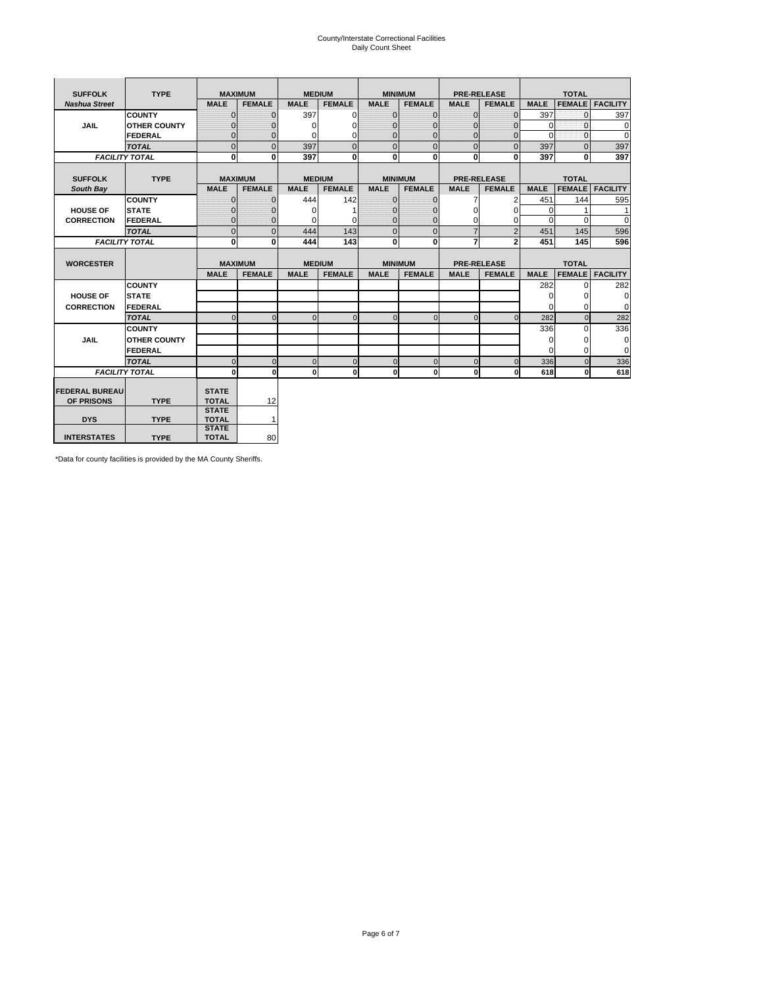# County/Interstate Correctional Facilities Daily Count Sheet

| <b>SUFFOLK</b>        | <b>TYPE</b>           |                              | <b>MAXIMUM</b> |               | <b>MEDIUM</b>  |              | <b>MINIMUM</b> |                | <b>PRE-RELEASE</b> |             | <b>TOTAL</b>  |                 |
|-----------------------|-----------------------|------------------------------|----------------|---------------|----------------|--------------|----------------|----------------|--------------------|-------------|---------------|-----------------|
| <b>Nashua Street</b>  |                       | <b>MALE</b>                  | <b>FEMALE</b>  | <b>MALE</b>   | <b>FEMALE</b>  | <b>MALE</b>  | <b>FEMALE</b>  | <b>MALE</b>    | <b>FEMALE</b>      | <b>MALE</b> | <b>FEMALE</b> | <b>FACILITY</b> |
|                       | <b>COUNTY</b>         | $\Omega$                     | $\mathbf{0}$   | 397           | $\Omega$       | $\mathbf{0}$ | $\Omega$       | $\mathbf{0}$   | $\Omega$           | 397         | $\Omega$      | 397             |
| JAIL                  | <b>OTHER COUNTY</b>   | $\Omega$                     | 0              | $\Omega$      | 0              | $\Omega$     | $\Omega$       | 0              | $\Omega$           | $\Omega$    | $\Omega$      | $\Omega$        |
|                       | FEDERAL               | $\mathbf{0}$                 | $\mathbf 0$    | 0             | 0              | $\mathbf{0}$ | $\mathbf{0}$   | 0              | 0                  | $\mathbf 0$ | $\mathbf{0}$  | $\mathbf 0$     |
|                       | <b>TOTAL</b>          | $\Omega$                     | $\Omega$       | 397           | $\overline{0}$ | $\mathbf{0}$ | $\Omega$       | $\Omega$       | $\Omega$           | 397         | $\Omega$      | 397             |
|                       | <b>FACILITY TOTAL</b> | 0                            | $\mathbf{0}$   | 397           | 0              | $\mathbf{0}$ | 0              | $\mathbf{0}$   | $\bf{0}$           | 397         | 0             | 397             |
|                       |                       |                              |                |               |                |              |                |                |                    |             |               |                 |
| <b>SUFFOLK</b>        | <b>TYPE</b>           |                              | <b>MAXIMUM</b> | <b>MEDIUM</b> |                |              | <b>MINIMUM</b> |                | <b>PRE-RELEASE</b> |             | <b>TOTAL</b>  |                 |
| South Bay             |                       | <b>MALE</b>                  | <b>FEMALE</b>  | <b>MALE</b>   | <b>FEMALE</b>  | <b>MALE</b>  | <b>FEMALE</b>  | <b>MALE</b>    | <b>FEMALE</b>      | <b>MALE</b> | <b>FEMALE</b> | <b>FACILITY</b> |
|                       | <b>COUNTY</b>         | $\mathbf{0}$                 | $\mathbf{0}$   | 444           | 142            | $\mathbf{0}$ | $\mathbf{0}$   | 7              | $\overline{2}$     | 451         | 144           | 595             |
| <b>HOUSE OF</b>       | <b>STATE</b>          | 0                            | $\Omega$       | $\Omega$      |                | $\Omega$     | 0              | $\Omega$       | $\Omega$           | $\Omega$    |               | 1               |
| <b>CORRECTION</b>     | FEDERAL               | $\mathbf{0}$                 | 0              | 0             | $\Omega$       | $\mathbf{0}$ | $\mathbf{0}$   | $\Omega$       | 0                  | $\Omega$    | $\Omega$      | $\Omega$        |
|                       | <b>TOTAL</b>          | $\Omega$                     | $\overline{0}$ | 444           | 143            | $\mathbf{0}$ | $\Omega$       | $\overline{7}$ | $\overline{2}$     | 451         | 145           | 596             |
|                       | <b>FACILITY TOTAL</b> | 0                            | 0              | 444           | 143            | $\mathbf{0}$ | 0              | 7              | $\mathbf{2}$       | 451         | 145           | 596             |
|                       |                       |                              |                |               |                |              |                |                |                    |             |               |                 |
| <b>WORCESTER</b>      |                       |                              | <b>MAXIMUM</b> | <b>MEDIUM</b> |                |              | <b>MINIMUM</b> |                | <b>PRE-RELEASE</b> |             | <b>TOTAL</b>  |                 |
|                       |                       | <b>MALE</b>                  | <b>FEMALE</b>  | <b>MALE</b>   | <b>FEMALE</b>  | <b>MALE</b>  | <b>FEMALE</b>  | <b>MALE</b>    | <b>FEMALE</b>      | <b>MALE</b> | <b>FEMALE</b> | <b>FACILITY</b> |
|                       | <b>COUNTY</b>         |                              |                |               |                |              |                |                |                    | 282         | $\Omega$      | 282             |
| <b>HOUSE OF</b>       | <b>STATE</b>          |                              |                |               |                |              |                |                |                    | 0           | 0             | $\mathbf 0$     |
| <b>CORRECTION</b>     | FEDERAL               |                              |                |               |                |              |                |                |                    | $\mathbf 0$ | $\Omega$      | $\mathbf 0$     |
|                       | <b>TOTAL</b>          | $\Omega$                     | $\Omega$       | $\Omega$      | $\mathbf 0$    | $\mathbf{0}$ | $\Omega$       | $\Omega$       | $\Omega$           | 282         | $\Omega$      | 282             |
|                       | <b>COUNTY</b>         |                              |                |               |                |              |                |                |                    | 336         | $\Omega$      | 336             |
| <b>JAIL</b>           | <b>OTHER COUNTY</b>   |                              |                |               |                |              |                |                |                    | $\mathbf 0$ | 0             | $\mathbf 0$     |
|                       | FEDERAL               |                              |                |               |                |              |                |                |                    | $\Omega$    | $\Omega$      | $\mathbf 0$     |
|                       | <b>TOTAL</b>          | $\Omega$                     | $\Omega$       | $\Omega$      | $\mathbf 0$    | $\mathbf{0}$ | $\Omega$       | $\Omega$       | $\Omega$           | 336         | $\Omega$      | 336             |
|                       | <b>FACILITY TOTAL</b> | $\mathbf{0}$                 | 0              | $\Omega$      | 0              | $\mathbf{0}$ | $\mathbf 0$    | $\mathbf{0}$   | O                  | 618         | 0             | 618             |
|                       |                       |                              |                |               |                |              |                |                |                    |             |               |                 |
| <b>FEDERAL BUREAU</b> |                       | <b>STATE</b>                 |                |               |                |              |                |                |                    |             |               |                 |
| OF PRISONS            | <b>TYPE</b>           | <b>TOTAL</b>                 | 12             |               |                |              |                |                |                    |             |               |                 |
| <b>DYS</b>            | <b>TYPE</b>           | <b>STATE</b><br><b>TOTAL</b> | 1              |               |                |              |                |                |                    |             |               |                 |
|                       |                       | <b>STATE</b>                 |                |               |                |              |                |                |                    |             |               |                 |
| <b>INTERSTATES</b>    | <b>TYPE</b>           | <b>TOTAL</b>                 | 80             |               |                |              |                |                |                    |             |               |                 |

\*Data for county facilities is provided by the MA County Sheriffs.